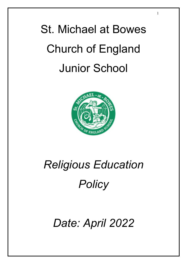# St. Michael at Bowes Church of England Junior School

1



# *Religious Education Policy*

## *Date: April 2022*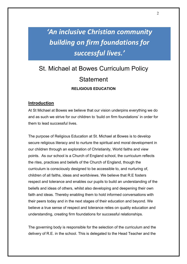## *'An inclusive Christian community building on firm foundations for successful lives.'*

### St. Michael at Bowes Curriculum Policy **Statement RELIGIOUS EDUCATION**

#### **Introduction**

At St Michael at Bowes we believe that our vision underpins everything we do and as such we strive for our children to 'build on firm foundations' in order for them to lead successful lives.

The purpose of Religious Education at St. Michael at Bowes is to develop secure religious literacy and to nurture the spiritual and moral development in our children through an exploration of Christianity, World faiths and view points. As our school is a Church of England school, the curriculum reflects the rites, practices and beliefs of the Church of England, though the curriculum is consciously designed to be accessible to, and nurturing of, children of all faiths, ideas and worldviews. We believe that R.E fosters respect and tolerance and enables our pupils to build an understanding of the beliefs and ideas of others, whilst also developing and deepening their own faith and ideas. Thereby enabling them to hold informed conversations with their peers today and in the next stages of their education and beyond. We believe a true sense of respect and tolerance relies on quality education and understanding, creating firm foundations for successful relationships.

The governing body is responsible for the selection of the curriculum and the delivery of R.E. in the school. This is delegated to the Head Teacher and the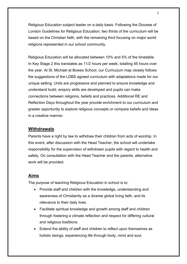Religious Education subject leader on a daily basis. Following the Diocese of London Guidelines for Religious Education, two thirds of the curriculum will be based on the Christian faith, with the remaining third focusing on major world religions represented in our school community.

Religious Education will be allocated between 10% and 5% of the timetable. In Key Stage 2 this translates as 11/2 hours per week, totalling 45 hours over the year. At St. Michael at Bowes School, our Curriculum map closely follows the suggestions of the LDBS agreed curriculum with adaptations made for our unique setting. Units are progressive and planned to ensure knowledge and understand build, enquiry skills are developed and pupils can make connections between religions, beliefs and practices. Additional RE and Reflection Days throughout the year provide enrichment to our curriculum and greater opportunity to explore religious concepts or compare beliefs and ideas in a creative manner.

#### **Withdrawals**

Parents have a right by law to withdraw their children from acts of worship. In this event, after discussion with the Head Teacher, the school will undertake responsibility for the supervision of withdrawn pupils with regard to health and safety. On consultation with the Head Teacher and the parents, alternative work will be provided.

#### **Aims**

The purpose of teaching Religious Education in school is to:

- Provide staff and children with the knowledge, understanding and awareness of Christianity as a diverse global living faith, and its relevance to their daily lives.
- Facilitate spiritual knowledge and growth among staff and children through fostering a climate reflection and respect for differing cultural and religious traditions.
- Extend the ability of staff and children to reflect upon themselves as holistic beings, experiencing life through body, mind and soul.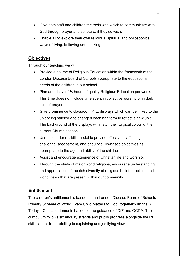- Give both staff and children the tools with which to communicate with God through prayer and scripture, if they so wish.
- Enable all to explore their own religious, spiritual and philosophical ways of living, believing and thinking.

#### **Objectives**

Through our teaching we will:

- Provide a course of Religious Education within the framework of the London Diocese Board of Schools appropriate to the educational needs of the children in our school.
- Plan and deliver 1<sup>1/4</sup> hours of quality Religious Education per week. This time does not include time spent in collective worship or in daily acts of prayer.
- Give prominence to classroom R.E. displays which can be linked to the unit being studied and changed each half term to reflect a new unit. The background of the displays will match the liturgical colour of the current Church season.
- Use the ladder of skills model to provide effective scaffolding, challenge, assessment, and enquiry skills-based objectives as appropriate to the age and ability of the children.
- Assist and encourage experience of Christian life and worship.
- Through the study of major world religions, encourage understanding and appreciation of the rich diversity of religious belief, practices and world views that are present within our community.

#### **Entitlement**

The children's entitlement is based on the London Diocese Board of Schools Primary Scheme of Work: Every Child Matters to God, together with the R.E. Today 'I Can...' statements based on the guidance of DfE and QCDA. The curriculum follows six enquiry strands and pupils progress alongside the RE skills ladder from retelling to explaining and justifying views.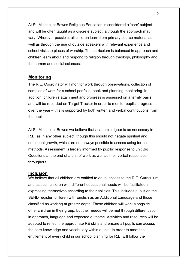At St. Michael at Bowes Religious Education is considered a 'core' subject and will be often taught as a discrete subject, although the approach may vary. Wherever possible, all children learn from primary source material as well as through the use of outside speakers with relevant experience and school visits to places of worship. The curriculum is balanced in approach and children learn about and respond to religion through theology, philosophy and the human and social sciences.

#### **Monitoring**

The R.E. Coordinator will monitor work through observations, collection of samples of work for a school portfolio, book and planning monitoring. In addition, children's attainment and progress is assessed on a termly basis and will be recorded on Target Tracker in order to monitor pupils' progress over the year – this is supported by both written and verbal contributions from the pupils.

At St. Michael at Bowes we believe that academic rigour is as necessary in R.E. as in any other subject, though this should not negate spiritual and emotional growth, which are not always possible to assess using formal methods. Assessment is largely informed by pupils' response to unit Big Questions at the end of a unit of work as well as their verbal responses throughout.

#### **Inclusion**

We believe that all children are entitled to equal access to the R.E. Curriculum and as such children with different educational needs will be facilitated in expressing themselves according to their abilities. This includes pupils on the SEND register, children with English as an Additional Language and those classified as working at greater depth. These children will work alongside other children in their group, but their needs will be met through differentiation in approach, language and expected outcome. Activities and resources will be adapted to reflect the appropriate RE skills and ensure all pupils can access the core knowledge and vocabulary within a unit. In order to meet the entitlement of every child in our school planning for R.E. will follow the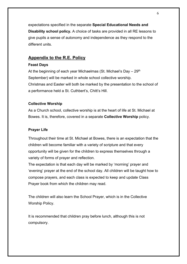expectations specified in the separate **Special Educational Needs and Disability school policy.** A choice of tasks are provided in all RE lessons to give pupils a sense of autonomy and independence as they respond to the different units.

#### **Appendix to the R.E. Policy**

#### **Feast Days**

At the beginning of each year Michaelmas (St. Michael's Day  $-29<sup>th</sup>$ September) will be marked in whole school collective worship. Christmas and Easter will both be marked by the presentation to the school of a performance held a St. Cuthbert's, Chitt's Hill.

#### **Collective Worship**

As a Church school, collective worship is at the heart of life at St. Michael at Bowes. It is, therefore, covered in a separate **Collective Worship** policy.

#### **Prayer Life**

Throughout their time at St. Michael at Bowes, there is an expectation that the children will become familiar with a variety of scripture and that every opportunity will be given for the children to express themselves through a variety of forms of prayer and reflection.

The expectation is that each day will be marked by 'morning' prayer and 'evening' prayer at the end of the school day. All children will be taught how to compose prayers, and each class is expected to keep and update Class Prayer book from which the children may read.

The children will also learn the School Prayer, which is in the Collective Worship Policy.

It is recommended that children pray before lunch, although this is not compulsory.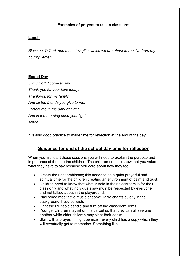#### **Examples of prayers to use in class are:**

#### **Lunch**

*Bless us, O God, and these thy gifts, which we are about to receive from thy bounty. Amen.*

#### **End of Day**

*O my God, I come to say: Thank-you for your love today; Thank-you for my family, And all the friends you give to me. Protect me in the dark of night, And in the morning send your light. Amen.*

It is also good practice to make time for reflection at the end of the day.

#### **Guidance for end of the school day time for reflection**

When you first start these sessions you will need to explain the purpose and importance of them to the children. The children need to know that you value what they have to say because you care about how they feel.

- Create the right ambiance; this needs to be a quiet prayerful and spiritual time for the children creating an environment of calm and trust.
- Children need to know that what is said in their classroom is for their class only and what individuals say must be respected by everyone and not talked about in the playground.
- Play some meditative music or some Tazié chants quietly in the background if you so wish.
- Light the RE table candle and turn off the classroom lights
- Younger children may sit on the carpet so that they can all see one another while older children may sit at their desks.
- Start with a prayer. It might be nice if every child has a copy which they will eventually get to memorise. Something like ...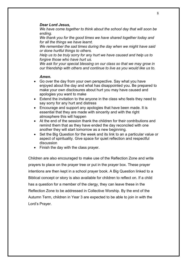#### *Dear Lord Jesus,*

*We have come together to think about the school day that will soon be ending.*

*We thank you for the good times we have shared together today and for all the things we have learnt.*

*We remember the sad times during the day when we might have said or done hurtful things to others.*

*Help us to be truly sorry for any hurt we have caused and help us to forgive those who have hurt us.*

*We ask for your special blessing on our class so that we may grow in our friendship with others and continue to live as you would like us to.*

#### *Amen.*

- Go over the day from your own perspective. Say what you have enjoyed about the day and what has disappointed you. Be prepared to make your own disclosures about hurt you may have caused and apologies you want to make
- Extend the invitation to the anyone in the class who feels they need to say sorry for any hurt and distress
- Encourage and support any apologies that have been made. It is essential that they are made with sincerity and with the right atmosphere this will happen
- At the end of the session thank the children for their contributions and remind them that as they have ended the day reconciled with one another they will start tomorrow as a new beginning.
- Set the Big Question for the week and its link to an a particular value or aspect of spirituality. Give space for quiet reflection and respectful discussion
- Finish the day with the class prayer.

Children are also encouraged to make use of the Reflection Zone and write prayers to place on the prayer tree or put in the prayer box. These prayer intentions are then kept in a school prayer book. A Big Question linked to a Biblical concept or story is also available for children to reflect on. If a child has a question for a member of the clergy, they can leave these in the Reflection Zone to be addressed in Collective Worship. By the end of the Autumn Term, children in Year 3 are expected to be able to join in with the Lord's Prayer.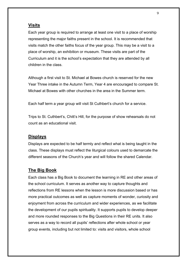#### **Visits**

Each year group is required to arrange at least one visit to a place of worship representing the major faiths present in the school. It is recommended that visits match the other faiths focus of the year group. This may be a visit to a place of worship, an exhibition or museum. These visits are part of the Curriculum and it is the school's expectation that they are attended by all children in the class.

Although a first visit to St. Michael at Bowes church is reserved for the new Year Three intake in the Autumn Term, Year 4 are encouraged to compare St. Michael at Bowes with other churches in the area in the Summer term.

Each half term a year group will visit St Cuthbert's church for a service.

Trips to St. Cuthbert's, Chitt's Hill, for the purpose of show rehearsals do not count as an educational visit.

#### **Displays**

Displays are expected to be half termly and reflect what is being taught in the class. These displays must reflect the liturgical colours used to demarcate the different seasons of the Church's year and will follow the shared Calendar.

#### **The Big Book**

Each class has a Big Book to document the learning in RE and other areas of the school curriculum. It serves as another way to capture thoughts and reflections from RE lessons when the lesson is more discussion based or has more practical outcomes as well as capture moments of wonder, curiosity and enjoyment from across the curriculum and wider experiences, as we facilitate the development of our pupils spirituality. It supports pupils to develop deeper and more rounded responses to the Big Questions in their RE units. It also serves as a way to record all pupils' reflections after whole school or year group events, including but not limited to: visits and visitors, whole school